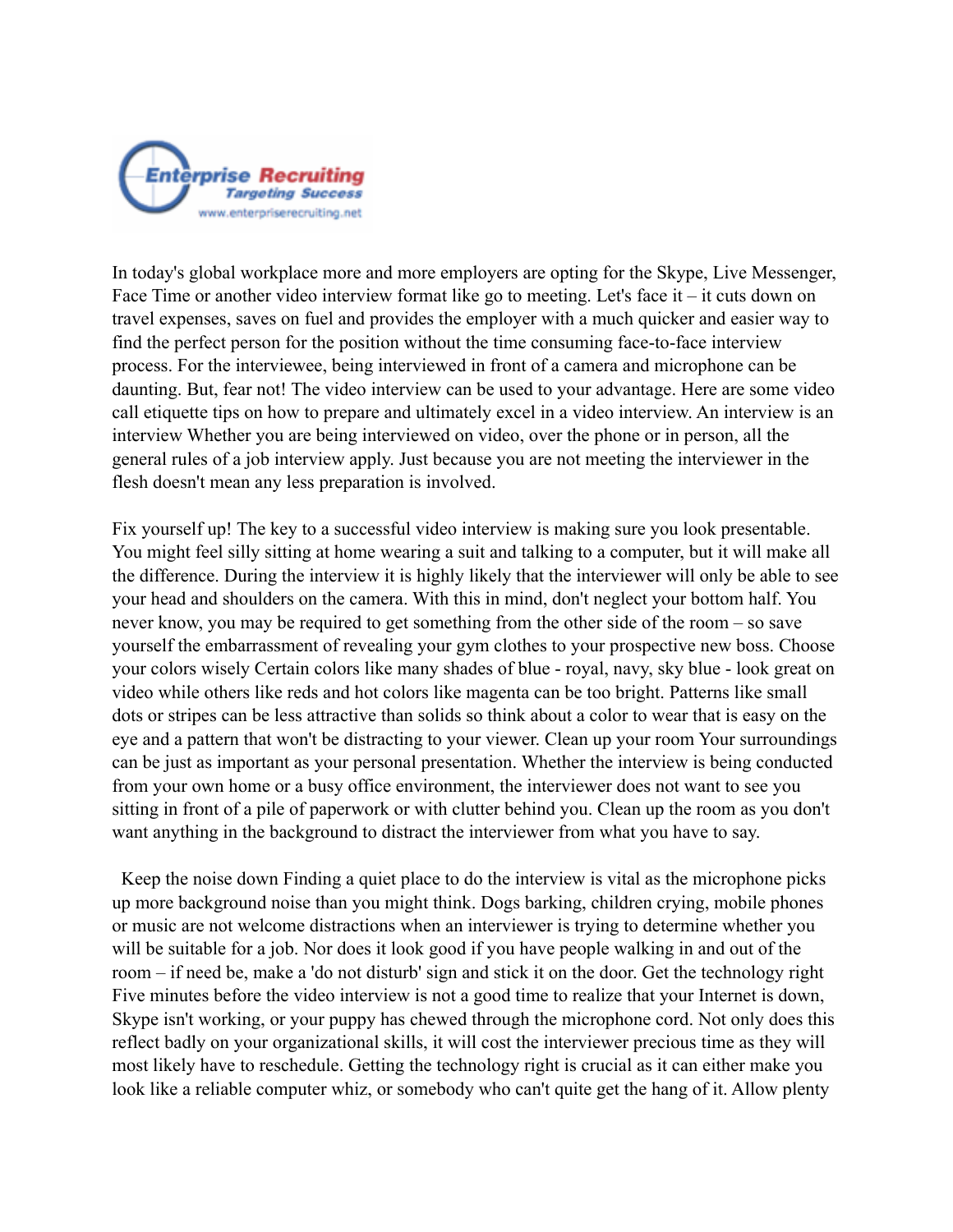

In today's global workplace more and more employers are opting for the Skype, Live Messenger, Face Time or another video interview format like go to meeting. Let's face it – it cuts down on travel expenses, saves on fuel and provides the employer with a much quicker and easier way to find the perfect person for the position without the time consuming face-to-face interview process. For the interviewee, being interviewed in front of a camera and microphone can be daunting. But, fear not! The video interview can be used to your advantage. Here are some video call etiquette tips on how to prepare and ultimately excel in a video interview. An interview is an interview Whether you are being interviewed on video, over the phone or in person, all the general rules of a job interview apply. Just because you are not meeting the interviewer in the flesh doesn't mean any less preparation is involved.

Fix yourself up! The key to a successful video interview is making sure you look presentable. You might feel silly sitting at home wearing a suit and talking to a computer, but it will make all the difference. During the interview it is highly likely that the interviewer will only be able to see your head and shoulders on the camera. With this in mind, don't neglect your bottom half. You never know, you may be required to get something from the other side of the room – so save yourself the embarrassment of revealing your gym clothes to your prospective new boss. Choose your colors wisely Certain colors like many shades of blue - royal, navy, sky blue - look great on video while others like reds and hot colors like magenta can be too bright. Patterns like small dots or stripes can be less attractive than solids so think about a color to wear that is easy on the eye and a pattern that won't be distracting to your viewer. Clean up your room Your surroundings can be just as important as your personal presentation. Whether the interview is being conducted from your own home or a busy office environment, the interviewer does not want to see you sitting in front of a pile of paperwork or with clutter behind you. Clean up the room as you don't want anything in the background to distract the interviewer from what you have to say.

 Keep the noise down Finding a quiet place to do the interview is vital as the microphone picks up more background noise than you might think. Dogs barking, children crying, mobile phones or music are not welcome distractions when an interviewer is trying to determine whether you will be suitable for a job. Nor does it look good if you have people walking in and out of the room – if need be, make a 'do not disturb' sign and stick it on the door. Get the technology right Five minutes before the video interview is not a good time to realize that your Internet is down, Skype isn't working, or your puppy has chewed through the microphone cord. Not only does this reflect badly on your organizational skills, it will cost the interviewer precious time as they will most likely have to reschedule. Getting the technology right is crucial as it can either make you look like a reliable computer whiz, or somebody who can't quite get the hang of it. Allow plenty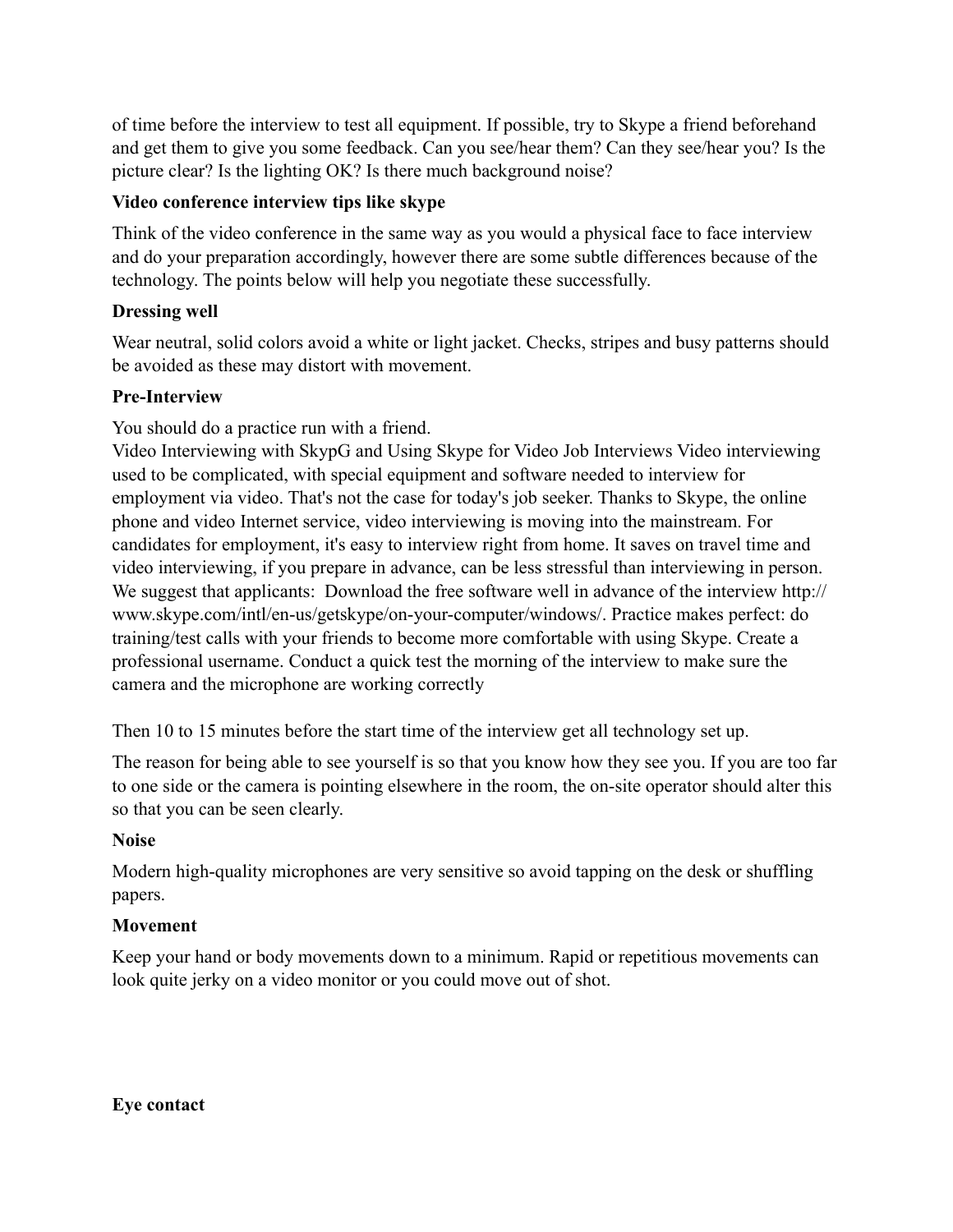of time before the interview to test all equipment. If possible, try to Skype a friend beforehand and get them to give you some feedback. Can you see/hear them? Can they see/hear you? Is the picture clear? Is the lighting OK? Is there much background noise?

## **Video conference interview tips like skype**

Think of the video conference in the same way as you would a physical face to face interview and do your preparation accordingly, however there are some subtle differences because of the technology. The points below will help you negotiate these successfully.

#### **Dressing well**

Wear neutral, solid colors avoid a white or light jacket. Checks, stripes and busy patterns should be avoided as these may distort with movement.

# **Pre-Interview**

You should do a practice run with a friend.

Video Interviewing with SkypG and Using Skype for Video Job Interviews Video interviewing used to be complicated, with special equipment and software needed to interview for employment via video. That's not the case for today's job seeker. Thanks to Skype, the online phone and video Internet service, video interviewing is moving into the mainstream. For candidates for employment, it's easy to interview right from home. It saves on travel time and video interviewing, if you prepare in advance, can be less stressful than interviewing in person. We suggest that applicants: Download the free software well in advance of the interview http:// www.skype.com/intl/en-us/getskype/on-your-computer/windows/. Practice makes perfect: do training/test calls with your friends to become more comfortable with using Skype. Create a professional username. Conduct a quick test the morning of the interview to make sure the camera and the microphone are working correctly

Then 10 to 15 minutes before the start time of the interview get all technology set up.

The reason for being able to see yourself is so that you know how they see you. If you are too far to one side or the camera is pointing elsewhere in the room, the on-site operator should alter this so that you can be seen clearly.

#### **Noise**

Modern high-quality microphones are very sensitive so avoid tapping on the desk or shuffling papers.

#### **Movement**

Keep your hand or body movements down to a minimum. Rapid or repetitious movements can look quite jerky on a video monitor or you could move out of shot.